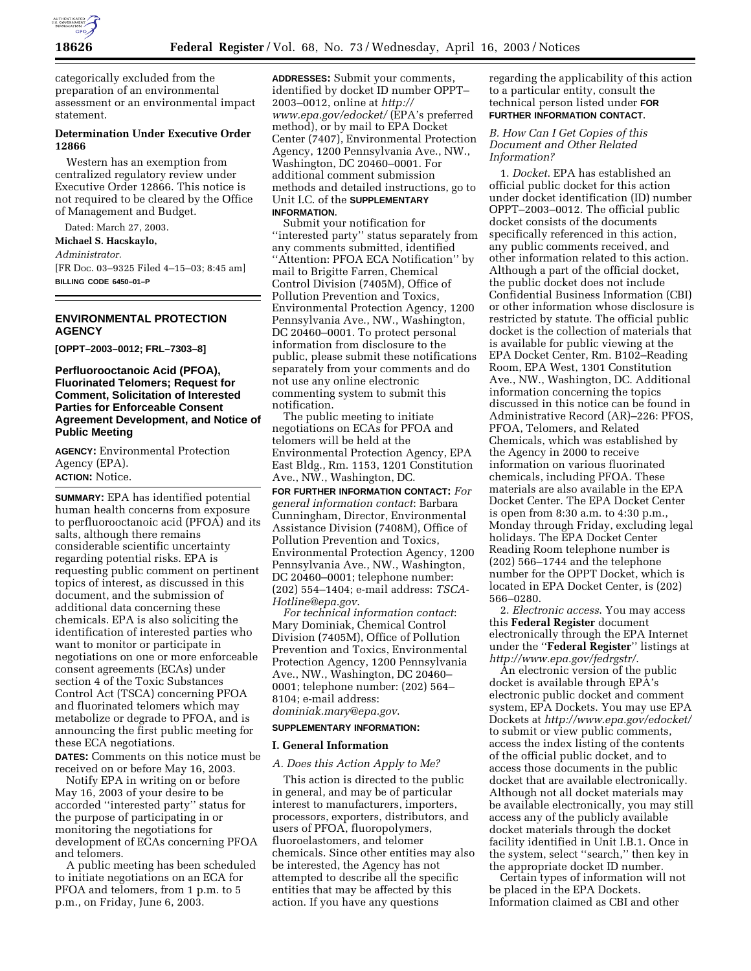

categorically excluded from the preparation of an environmental assessment or an environmental impact statement.

# **Determination Under Executive Order 12866**

Western has an exemption from centralized regulatory review under Executive Order 12866. This notice is not required to be cleared by the Office of Management and Budget.

Dated: March 27, 2003.

**Michael S. Hacskaylo,**  *Administrator.* [FR Doc. 03–9325 Filed 4–15–03; 8:45 am] **BILLING CODE 6450–01–P**

### **ENVIRONMENTAL PROTECTION AGENCY**

**[OPPT–2003–0012; FRL–7303–8]** 

**Perfluorooctanoic Acid (PFOA), Fluorinated Telomers; Request for Comment, Solicitation of Interested Parties for Enforceable Consent Agreement Development, and Notice of Public Meeting**

**AGENCY:** Environmental Protection Agency (EPA). **ACTION:** Notice.

**SUMMARY:** EPA has identified potential human health concerns from exposure to perfluorooctanoic acid (PFOA) and its salts, although there remains considerable scientific uncertainty regarding potential risks. EPA is requesting public comment on pertinent topics of interest, as discussed in this document, and the submission of additional data concerning these chemicals. EPA is also soliciting the identification of interested parties who want to monitor or participate in negotiations on one or more enforceable consent agreements (ECAs) under section 4 of the Toxic Substances Control Act (TSCA) concerning PFOA and fluorinated telomers which may metabolize or degrade to PFOA, and is announcing the first public meeting for these ECA negotiations.

**DATES:** Comments on this notice must be received on or before May 16, 2003.

Notify EPA in writing on or before May 16, 2003 of your desire to be accorded ''interested party'' status for the purpose of participating in or monitoring the negotiations for development of ECAs concerning PFOA and telomers.

A public meeting has been scheduled to initiate negotiations on an ECA for PFOA and telomers, from 1 p.m. to 5 p.m., on Friday, June 6, 2003.

**ADDRESSES:** Submit your comments, identified by docket ID number OPPT– 2003–0012, online at *http:// www.epa.gov/edocket/* (EPA's preferred method), or by mail to EPA Docket Center (7407), Environmental Protection Agency, 1200 Pennsylvania Ave., NW., Washington, DC 20460–0001. For additional comment submission methods and detailed instructions, go to Unit I.C. of the **SUPPLEMENTARY**

#### **INFORMATION**.

Submit your notification for ''interested party'' status separately from any comments submitted, identified ''Attention: PFOA ECA Notification'' by mail to Brigitte Farren, Chemical Control Division (7405M), Office of Pollution Prevention and Toxics, Environmental Protection Agency, 1200 Pennsylvania Ave., NW., Washington, DC 20460–0001. To protect personal information from disclosure to the public, please submit these notifications separately from your comments and do not use any online electronic commenting system to submit this notification.

The public meeting to initiate negotiations on ECAs for PFOA and telomers will be held at the Environmental Protection Agency, EPA East Bldg., Rm. 1153, 1201 Constitution Ave., NW., Washington, DC.

**FOR FURTHER INFORMATION CONTACT:** *For general information contact*: Barbara Cunningham, Director, Environmental Assistance Division (7408M), Office of Pollution Prevention and Toxics, Environmental Protection Agency, 1200 Pennsylvania Ave., NW., Washington, DC 20460–0001; telephone number: (202) 554–1404; e-mail address: *TSCA-Hotline@epa.gov*.

*For technical information contact*: Mary Dominiak, Chemical Control Division (7405M), Office of Pollution Prevention and Toxics, Environmental Protection Agency, 1200 Pennsylvania Ave., NW., Washington, DC 20460– 0001; telephone number: (202) 564– 8104; e-mail address: *dominiak.mary@epa.gov*.

#### **SUPPLEMENTARY INFORMATION:**

#### **I. General Information**

# *A. Does this Action Apply to Me?*

This action is directed to the public in general, and may be of particular interest to manufacturers, importers, processors, exporters, distributors, and users of PFOA, fluoropolymers, fluoroelastomers, and telomer chemicals. Since other entities may also be interested, the Agency has not attempted to describe all the specific entities that may be affected by this action. If you have any questions

regarding the applicability of this action to a particular entity, consult the technical person listed under **FOR FURTHER INFORMATION CONTACT**.

## *B. How Can I Get Copies of this Document and Other Related Information?*

1. *Docket*. EPA has established an official public docket for this action under docket identification (ID) number OPPT–2003–0012. The official public docket consists of the documents specifically referenced in this action, any public comments received, and other information related to this action. Although a part of the official docket, the public docket does not include Confidential Business Information (CBI) or other information whose disclosure is restricted by statute. The official public docket is the collection of materials that is available for public viewing at the EPA Docket Center, Rm. B102–Reading Room, EPA West, 1301 Constitution Ave., NW., Washington, DC. Additional information concerning the topics discussed in this notice can be found in Administrative Record (AR)–226: PFOS, PFOA, Telomers, and Related Chemicals, which was established by the Agency in 2000 to receive information on various fluorinated chemicals, including PFOA. These materials are also available in the EPA Docket Center. The EPA Docket Center is open from 8:30 a.m. to 4:30 p.m., Monday through Friday, excluding legal holidays. The EPA Docket Center Reading Room telephone number is (202) 566–1744 and the telephone number for the OPPT Docket, which is located in EPA Docket Center, is (202) 566–0280.

2. *Electronic access*. You may access this **Federal Register** document electronically through the EPA Internet under the ''**Federal Register**'' listings at *http://www.epa.gov/fedrgstr/*.

An electronic version of the public docket is available through EPA's electronic public docket and comment system, EPA Dockets. You may use EPA Dockets at *http://www.epa.gov/edocket/* to submit or view public comments, access the index listing of the contents of the official public docket, and to access those documents in the public docket that are available electronically. Although not all docket materials may be available electronically, you may still access any of the publicly available docket materials through the docket facility identified in Unit I.B.1. Once in the system, select ''search,'' then key in the appropriate docket ID number.

Certain types of information will not be placed in the EPA Dockets. Information claimed as CBI and other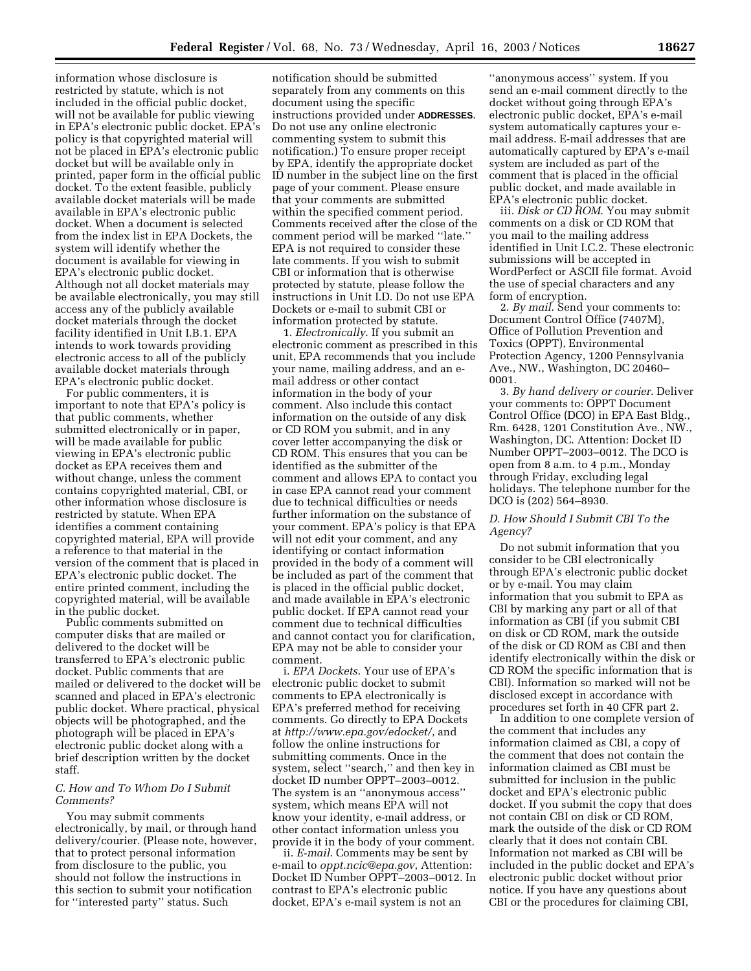information whose disclosure is restricted by statute, which is not included in the official public docket, will not be available for public viewing in EPA's electronic public docket. EPA's policy is that copyrighted material will not be placed in EPA's electronic public docket but will be available only in printed, paper form in the official public docket. To the extent feasible, publicly available docket materials will be made available in EPA's electronic public docket. When a document is selected from the index list in EPA Dockets, the system will identify whether the document is available for viewing in EPA's electronic public docket. Although not all docket materials may be available electronically, you may still access any of the publicly available docket materials through the docket facility identified in Unit I.B.1. EPA intends to work towards providing electronic access to all of the publicly available docket materials through EPA's electronic public docket.

For public commenters, it is important to note that EPA's policy is that public comments, whether submitted electronically or in paper, will be made available for public viewing in EPA's electronic public docket as EPA receives them and without change, unless the comment contains copyrighted material, CBI, or other information whose disclosure is restricted by statute. When EPA identifies a comment containing copyrighted material, EPA will provide a reference to that material in the version of the comment that is placed in EPA's electronic public docket. The entire printed comment, including the copyrighted material, will be available in the public docket.

Public comments submitted on computer disks that are mailed or delivered to the docket will be transferred to EPA's electronic public docket. Public comments that are mailed or delivered to the docket will be scanned and placed in EPA's electronic public docket. Where practical, physical objects will be photographed, and the photograph will be placed in EPA's electronic public docket along with a brief description written by the docket staff.

### *C. How and To Whom Do I Submit Comments?*

You may submit comments electronically, by mail, or through hand delivery/courier. (Please note, however, that to protect personal information from disclosure to the public, you should not follow the instructions in this section to submit your notification for ''interested party'' status. Such

notification should be submitted separately from any comments on this document using the specific instructions provided under **ADDRESSES**. Do not use any online electronic commenting system to submit this notification.) To ensure proper receipt by EPA, identify the appropriate docket ID number in the subject line on the first page of your comment. Please ensure that your comments are submitted within the specified comment period. Comments received after the close of the comment period will be marked ''late.'' EPA is not required to consider these late comments. If you wish to submit CBI or information that is otherwise protected by statute, please follow the instructions in Unit I.D. Do not use EPA Dockets or e-mail to submit CBI or information protected by statute.

1. *Electronically*. If you submit an electronic comment as prescribed in this unit, EPA recommends that you include your name, mailing address, and an email address or other contact information in the body of your comment. Also include this contact information on the outside of any disk or CD ROM you submit, and in any cover letter accompanying the disk or CD ROM. This ensures that you can be identified as the submitter of the comment and allows EPA to contact you in case EPA cannot read your comment due to technical difficulties or needs further information on the substance of your comment. EPA's policy is that EPA will not edit your comment, and any identifying or contact information provided in the body of a comment will be included as part of the comment that is placed in the official public docket, and made available in EPA's electronic public docket. If EPA cannot read your comment due to technical difficulties and cannot contact you for clarification, EPA may not be able to consider your comment.

i. *EPA Dockets*. Your use of EPA's electronic public docket to submit comments to EPA electronically is EPA's preferred method for receiving comments. Go directly to EPA Dockets at *http://www.epa.gov/edocket/*, and follow the online instructions for submitting comments. Once in the system, select ''search,'' and then key in docket ID number OPPT–2003–0012. The system is an ''anonymous access'' system, which means EPA will not know your identity, e-mail address, or other contact information unless you provide it in the body of your comment.

ii. *E-mail*. Comments may be sent by e-mail to *oppt.ncic@epa.gov*, Attention: Docket ID Number OPPT–2003–0012. In contrast to EPA's electronic public docket, EPA's e-mail system is not an

''anonymous access'' system. If you send an e-mail comment directly to the docket without going through EPA's electronic public docket, EPA's e-mail system automatically captures your email address. E-mail addresses that are automatically captured by EPA's e-mail system are included as part of the comment that is placed in the official public docket, and made available in EPA's electronic public docket.

iii. *Disk or CD ROM*. You may submit comments on a disk or CD ROM that you mail to the mailing address identified in Unit I.C.2. These electronic submissions will be accepted in WordPerfect or ASCII file format. Avoid the use of special characters and any form of encryption.

2. *By mail*. Send your comments to: Document Control Office (7407M), Office of Pollution Prevention and Toxics (OPPT), Environmental Protection Agency, 1200 Pennsylvania Ave., NW., Washington, DC 20460– 0001.

3. *By hand delivery or courier*. Deliver your comments to: OPPT Document Control Office (DCO) in EPA East Bldg., Rm. 6428, 1201 Constitution Ave., NW., Washington, DC. Attention: Docket ID Number OPPT–2003–0012. The DCO is open from 8 a.m. to 4 p.m., Monday through Friday, excluding legal holidays. The telephone number for the DCO is (202) 564–8930.

## *D. How Should I Submit CBI To the Agency?*

Do not submit information that you consider to be CBI electronically through EPA's electronic public docket or by e-mail. You may claim information that you submit to EPA as CBI by marking any part or all of that information as CBI (if you submit CBI on disk or CD ROM, mark the outside of the disk or CD ROM as CBI and then identify electronically within the disk or CD ROM the specific information that is CBI). Information so marked will not be disclosed except in accordance with procedures set forth in 40 CFR part 2.

In addition to one complete version of the comment that includes any information claimed as CBI, a copy of the comment that does not contain the information claimed as CBI must be submitted for inclusion in the public docket and EPA's electronic public docket. If you submit the copy that does not contain CBI on disk or CD ROM, mark the outside of the disk or CD ROM clearly that it does not contain CBI. Information not marked as CBI will be included in the public docket and EPA's electronic public docket without prior notice. If you have any questions about CBI or the procedures for claiming CBI,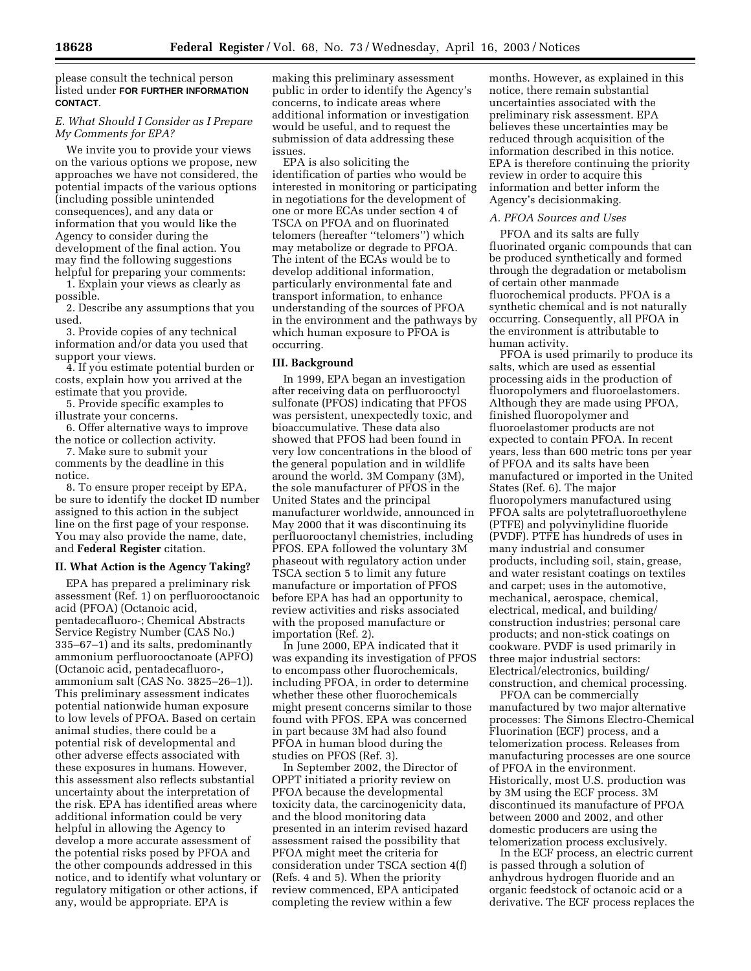# please consult the technical person listed under **FOR FURTHER INFORMATION CONTACT**.

# *E. What Should I Consider as I Prepare My Comments for EPA?*

We invite you to provide your views on the various options we propose, new approaches we have not considered, the potential impacts of the various options (including possible unintended consequences), and any data or information that you would like the Agency to consider during the development of the final action. You may find the following suggestions helpful for preparing your comments:

1. Explain your views as clearly as possible.

2. Describe any assumptions that you used.

3. Provide copies of any technical information and/or data you used that support your views.

4. If you estimate potential burden or costs, explain how you arrived at the estimate that you provide.

5. Provide specific examples to illustrate your concerns.

6. Offer alternative ways to improve the notice or collection activity.

7. Make sure to submit your comments by the deadline in this notice.

8. To ensure proper receipt by EPA, be sure to identify the docket ID number assigned to this action in the subject line on the first page of your response. You may also provide the name, date, and **Federal Register** citation.

# **II. What Action is the Agency Taking?**

EPA has prepared a preliminary risk assessment (Ref. 1) on perfluorooctanoic acid (PFOA) (Octanoic acid, pentadecafluoro-; Chemical Abstracts Service Registry Number (CAS No.) 335–67–1) and its salts, predominantly ammonium perfluorooctanoate (APFO) (Octanoic acid, pentadecafluoro-, ammonium salt (CAS No. 3825–26–1)). This preliminary assessment indicates potential nationwide human exposure to low levels of PFOA. Based on certain animal studies, there could be a potential risk of developmental and other adverse effects associated with these exposures in humans. However, this assessment also reflects substantial uncertainty about the interpretation of the risk. EPA has identified areas where additional information could be very helpful in allowing the Agency to develop a more accurate assessment of the potential risks posed by PFOA and the other compounds addressed in this notice, and to identify what voluntary or regulatory mitigation or other actions, if any, would be appropriate. EPA is

making this preliminary assessment public in order to identify the Agency's concerns, to indicate areas where additional information or investigation would be useful, and to request the submission of data addressing these issues.

EPA is also soliciting the identification of parties who would be interested in monitoring or participating in negotiations for the development of one or more ECAs under section 4 of TSCA on PFOA and on fluorinated telomers (hereafter ''telomers'') which may metabolize or degrade to PFOA. The intent of the ECAs would be to develop additional information, particularly environmental fate and transport information, to enhance understanding of the sources of PFOA in the environment and the pathways by which human exposure to PFOA is occurring.

#### **III. Background**

In 1999, EPA began an investigation after receiving data on perfluorooctyl sulfonate (PFOS) indicating that PFOS was persistent, unexpectedly toxic, and bioaccumulative. These data also showed that PFOS had been found in very low concentrations in the blood of the general population and in wildlife around the world. 3M Company (3M), the sole manufacturer of PFOS in the United States and the principal manufacturer worldwide, announced in May 2000 that it was discontinuing its perfluorooctanyl chemistries, including PFOS. EPA followed the voluntary 3M phaseout with regulatory action under TSCA section 5 to limit any future manufacture or importation of PFOS before EPA has had an opportunity to review activities and risks associated with the proposed manufacture or importation (Ref. 2).

In June 2000, EPA indicated that it was expanding its investigation of PFOS to encompass other fluorochemicals, including PFOA, in order to determine whether these other fluorochemicals might present concerns similar to those found with PFOS. EPA was concerned in part because 3M had also found PFOA in human blood during the studies on PFOS (Ref. 3).

In September 2002, the Director of OPPT initiated a priority review on PFOA because the developmental toxicity data, the carcinogenicity data, and the blood monitoring data presented in an interim revised hazard assessment raised the possibility that PFOA might meet the criteria for consideration under TSCA section 4(f) (Refs. 4 and 5). When the priority review commenced, EPA anticipated completing the review within a few

months. However, as explained in this notice, there remain substantial uncertainties associated with the preliminary risk assessment. EPA believes these uncertainties may be reduced through acquisition of the information described in this notice. EPA is therefore continuing the priority review in order to acquire this information and better inform the Agency's decisionmaking.

### *A. PFOA Sources and Uses*

PFOA and its salts are fully fluorinated organic compounds that can be produced synthetically and formed through the degradation or metabolism of certain other manmade fluorochemical products. PFOA is a synthetic chemical and is not naturally occurring. Consequently, all PFOA in the environment is attributable to human activity.

PFOA is used primarily to produce its salts, which are used as essential processing aids in the production of fluoropolymers and fluoroelastomers. Although they are made using PFOA, finished fluoropolymer and fluoroelastomer products are not expected to contain PFOA. In recent years, less than 600 metric tons per year of PFOA and its salts have been manufactured or imported in the United States (Ref. 6). The major fluoropolymers manufactured using PFOA salts are polytetrafluoroethylene (PTFE) and polyvinylidine fluoride (PVDF). PTFE has hundreds of uses in many industrial and consumer products, including soil, stain, grease, and water resistant coatings on textiles and carpet; uses in the automotive, mechanical, aerospace, chemical, electrical, medical, and building/ construction industries; personal care products; and non-stick coatings on cookware. PVDF is used primarily in three major industrial sectors: Electrical/electronics, building/ construction, and chemical processing.

PFOA can be commercially manufactured by two major alternative processes: The Simons Electro-Chemical Fluorination (ECF) process, and a telomerization process. Releases from manufacturing processes are one source of PFOA in the environment. Historically, most U.S. production was by 3M using the ECF process. 3M discontinued its manufacture of PFOA between 2000 and 2002, and other domestic producers are using the telomerization process exclusively.

In the ECF process, an electric current is passed through a solution of anhydrous hydrogen fluoride and an organic feedstock of octanoic acid or a derivative. The ECF process replaces the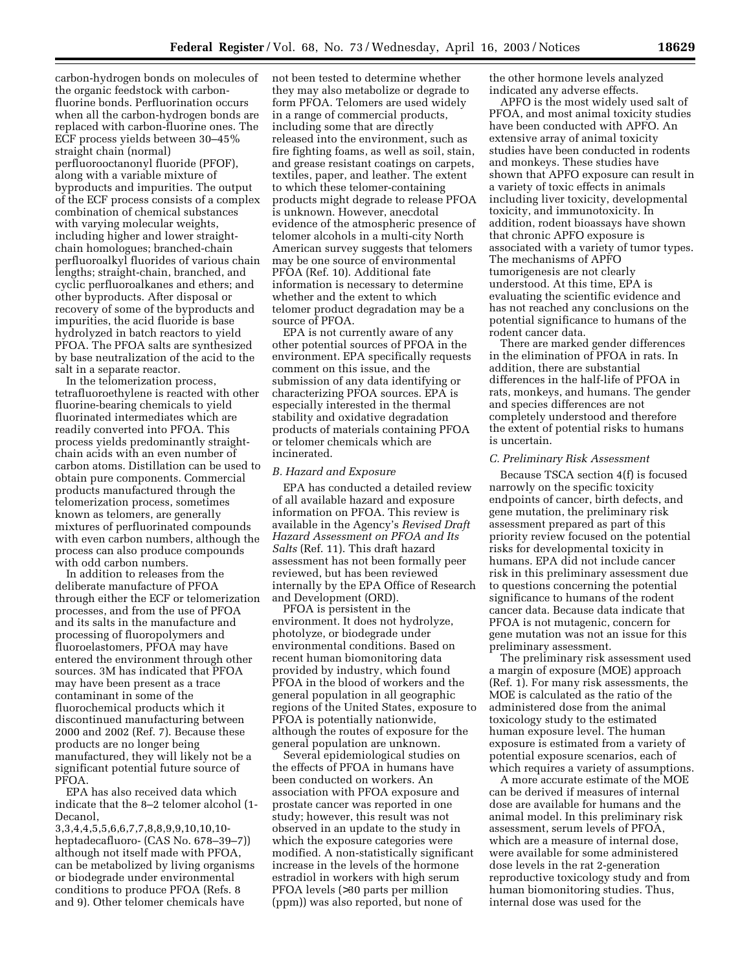carbon-hydrogen bonds on molecules of the organic feedstock with carbonfluorine bonds. Perfluorination occurs when all the carbon-hydrogen bonds are replaced with carbon-fluorine ones. The ECF process yields between 30–45% straight chain (normal) perfluorooctanonyl fluoride (PFOF), along with a variable mixture of byproducts and impurities. The output of the ECF process consists of a complex combination of chemical substances with varying molecular weights, including higher and lower straightchain homologues; branched-chain perfluoroalkyl fluorides of various chain lengths; straight-chain, branched, and cyclic perfluoroalkanes and ethers; and other byproducts. After disposal or recovery of some of the byproducts and impurities, the acid fluoride is base hydrolyzed in batch reactors to yield PFOA. The PFOA salts are synthesized by base neutralization of the acid to the salt in a separate reactor.

In the telomerization process, tetrafluoroethylene is reacted with other fluorine-bearing chemicals to yield fluorinated intermediates which are readily converted into PFOA. This process yields predominantly straightchain acids with an even number of carbon atoms. Distillation can be used to obtain pure components. Commercial products manufactured through the telomerization process, sometimes known as telomers, are generally mixtures of perfluorinated compounds with even carbon numbers, although the process can also produce compounds with odd carbon numbers.

In addition to releases from the deliberate manufacture of PFOA through either the ECF or telomerization processes, and from the use of PFOA and its salts in the manufacture and processing of fluoropolymers and fluoroelastomers, PFOA may have entered the environment through other sources. 3M has indicated that PFOA may have been present as a trace contaminant in some of the fluorochemical products which it discontinued manufacturing between 2000 and 2002 (Ref. 7). Because these products are no longer being manufactured, they will likely not be a significant potential future source of PFOA.

EPA has also received data which indicate that the 8–2 telomer alcohol (1- Decanol,

3,3,4,4,5,5,6,6,7,7,8,8,9,9,10,10,10 heptadecafluoro- (CAS No. 678–39–7)) although not itself made with PFOA, can be metabolized by living organisms or biodegrade under environmental conditions to produce PFOA (Refs. 8 and 9). Other telomer chemicals have

not been tested to determine whether they may also metabolize or degrade to form PFOA. Telomers are used widely in a range of commercial products, including some that are directly released into the environment, such as fire fighting foams, as well as soil, stain, and grease resistant coatings on carpets, textiles, paper, and leather. The extent to which these telomer-containing products might degrade to release PFOA is unknown. However, anecdotal evidence of the atmospheric presence of telomer alcohols in a multi-city North American survey suggests that telomers may be one source of environmental PFOA (Ref. 10). Additional fate information is necessary to determine whether and the extent to which telomer product degradation may be a source of PFOA.

EPA is not currently aware of any other potential sources of PFOA in the environment. EPA specifically requests comment on this issue, and the submission of any data identifying or characterizing PFOA sources. EPA is especially interested in the thermal stability and oxidative degradation products of materials containing PFOA or telomer chemicals which are incinerated.

#### *B. Hazard and Exposure*

EPA has conducted a detailed review of all available hazard and exposure information on PFOA. This review is available in the Agency's *Revised Draft Hazard Assessment on PFOA and Its Salts* (Ref. 11). This draft hazard assessment has not been formally peer reviewed, but has been reviewed internally by the EPA Office of Research and Development (ORD).

PFOA is persistent in the environment. It does not hydrolyze, photolyze, or biodegrade under environmental conditions. Based on recent human biomonitoring data provided by industry, which found PFOA in the blood of workers and the general population in all geographic regions of the United States, exposure to PFOA is potentially nationwide, although the routes of exposure for the general population are unknown.

Several epidemiological studies on the effects of PFOA in humans have been conducted on workers. An association with PFOA exposure and prostate cancer was reported in one study; however, this result was not observed in an update to the study in which the exposure categories were modified. A non-statistically significant increase in the levels of the hormone estradiol in workers with high serum PFOA levels (>30 parts per million (ppm)) was also reported, but none of

the other hormone levels analyzed indicated any adverse effects.

APFO is the most widely used salt of PFOA, and most animal toxicity studies have been conducted with APFO. An extensive array of animal toxicity studies have been conducted in rodents and monkeys. These studies have shown that APFO exposure can result in a variety of toxic effects in animals including liver toxicity, developmental toxicity, and immunotoxicity. In addition, rodent bioassays have shown that chronic APFO exposure is associated with a variety of tumor types. The mechanisms of APFO tumorigenesis are not clearly understood. At this time, EPA is evaluating the scientific evidence and has not reached any conclusions on the potential significance to humans of the rodent cancer data.

There are marked gender differences in the elimination of PFOA in rats. In addition, there are substantial differences in the half-life of PFOA in rats, monkeys, and humans. The gender and species differences are not completely understood and therefore the extent of potential risks to humans is uncertain.

#### *C. Preliminary Risk Assessment*

Because TSCA section 4(f) is focused narrowly on the specific toxicity endpoints of cancer, birth defects, and gene mutation, the preliminary risk assessment prepared as part of this priority review focused on the potential risks for developmental toxicity in humans. EPA did not include cancer risk in this preliminary assessment due to questions concerning the potential significance to humans of the rodent cancer data. Because data indicate that PFOA is not mutagenic, concern for gene mutation was not an issue for this preliminary assessment.

The preliminary risk assessment used a margin of exposure (MOE) approach (Ref. 1). For many risk assessments, the MOE is calculated as the ratio of the administered dose from the animal toxicology study to the estimated human exposure level. The human exposure is estimated from a variety of potential exposure scenarios, each of which requires a variety of assumptions.

A more accurate estimate of the MOE can be derived if measures of internal dose are available for humans and the animal model. In this preliminary risk assessment, serum levels of PFOA, which are a measure of internal dose, were available for some administered dose levels in the rat 2-generation reproductive toxicology study and from human biomonitoring studies. Thus, internal dose was used for the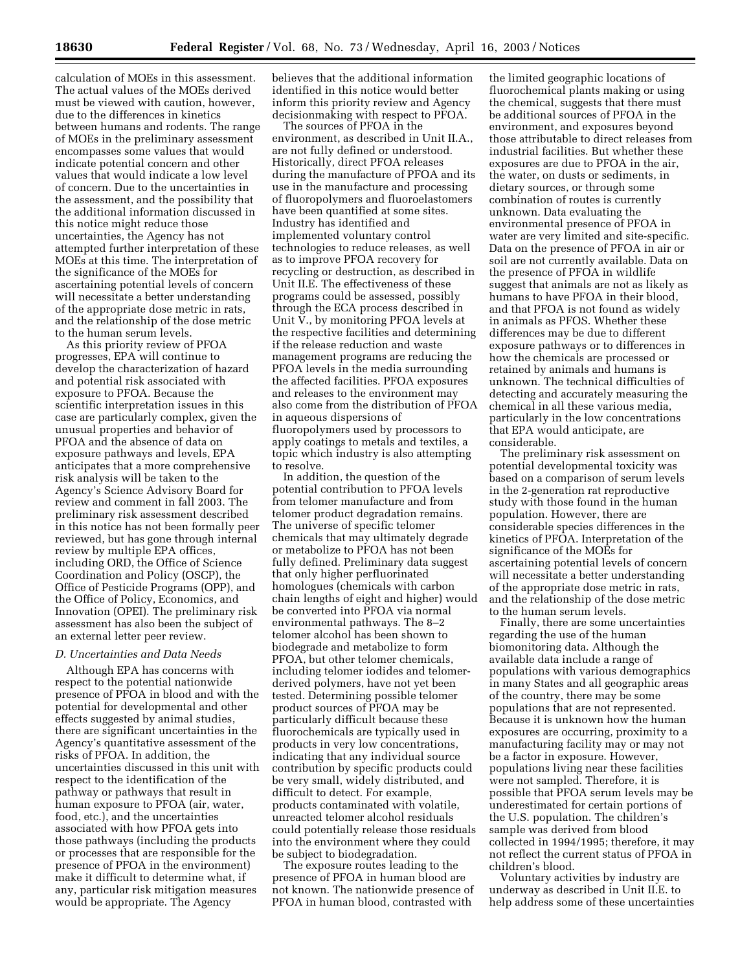calculation of MOEs in this assessment. The actual values of the MOEs derived must be viewed with caution, however, due to the differences in kinetics between humans and rodents. The range of MOEs in the preliminary assessment encompasses some values that would indicate potential concern and other values that would indicate a low level of concern. Due to the uncertainties in the assessment, and the possibility that the additional information discussed in this notice might reduce those uncertainties, the Agency has not attempted further interpretation of these MOEs at this time. The interpretation of the significance of the MOEs for ascertaining potential levels of concern will necessitate a better understanding of the appropriate dose metric in rats, and the relationship of the dose metric to the human serum levels.

As this priority review of PFOA progresses, EPA will continue to develop the characterization of hazard and potential risk associated with exposure to PFOA. Because the scientific interpretation issues in this case are particularly complex, given the unusual properties and behavior of PFOA and the absence of data on exposure pathways and levels, EPA anticipates that a more comprehensive risk analysis will be taken to the Agency's Science Advisory Board for review and comment in fall 2003. The preliminary risk assessment described in this notice has not been formally peer reviewed, but has gone through internal review by multiple EPA offices, including ORD, the Office of Science Coordination and Policy (OSCP), the Office of Pesticide Programs (OPP), and the Office of Policy, Economics, and Innovation (OPEI). The preliminary risk assessment has also been the subject of an external letter peer review.

### *D. Uncertainties and Data Needs*

Although EPA has concerns with respect to the potential nationwide presence of PFOA in blood and with the potential for developmental and other effects suggested by animal studies, there are significant uncertainties in the Agency's quantitative assessment of the risks of PFOA. In addition, the uncertainties discussed in this unit with respect to the identification of the pathway or pathways that result in human exposure to PFOA (air, water, food, etc.), and the uncertainties associated with how PFOA gets into those pathways (including the products or processes that are responsible for the presence of PFOA in the environment) make it difficult to determine what, if any, particular risk mitigation measures would be appropriate. The Agency

believes that the additional information identified in this notice would better inform this priority review and Agency decisionmaking with respect to PFOA.

The sources of PFOA in the environment, as described in Unit II.A., are not fully defined or understood. Historically, direct PFOA releases during the manufacture of PFOA and its use in the manufacture and processing of fluoropolymers and fluoroelastomers have been quantified at some sites. Industry has identified and implemented voluntary control technologies to reduce releases, as well as to improve PFOA recovery for recycling or destruction, as described in Unit II.E. The effectiveness of these programs could be assessed, possibly through the ECA process described in Unit V., by monitoring PFOA levels at the respective facilities and determining if the release reduction and waste management programs are reducing the PFOA levels in the media surrounding the affected facilities. PFOA exposures and releases to the environment may also come from the distribution of PFOA in aqueous dispersions of fluoropolymers used by processors to apply coatings to metals and textiles, a topic which industry is also attempting to resolve.

In addition, the question of the potential contribution to PFOA levels from telomer manufacture and from telomer product degradation remains. The universe of specific telomer chemicals that may ultimately degrade or metabolize to PFOA has not been fully defined. Preliminary data suggest that only higher perfluorinated homologues (chemicals with carbon chain lengths of eight and higher) would be converted into PFOA via normal environmental pathways. The 8–2 telomer alcohol has been shown to biodegrade and metabolize to form PFOA, but other telomer chemicals, including telomer iodides and telomerderived polymers, have not yet been tested. Determining possible telomer product sources of PFOA may be particularly difficult because these fluorochemicals are typically used in products in very low concentrations, indicating that any individual source contribution by specific products could be very small, widely distributed, and difficult to detect. For example, products contaminated with volatile, unreacted telomer alcohol residuals could potentially release those residuals into the environment where they could be subject to biodegradation.

The exposure routes leading to the presence of PFOA in human blood are not known. The nationwide presence of PFOA in human blood, contrasted with

the limited geographic locations of fluorochemical plants making or using the chemical, suggests that there must be additional sources of PFOA in the environment, and exposures beyond those attributable to direct releases from industrial facilities. But whether these exposures are due to PFOA in the air, the water, on dusts or sediments, in dietary sources, or through some combination of routes is currently unknown. Data evaluating the environmental presence of PFOA in water are very limited and site-specific. Data on the presence of PFOA in air or soil are not currently available. Data on the presence of PFOA in wildlife suggest that animals are not as likely as humans to have PFOA in their blood, and that PFOA is not found as widely in animals as PFOS. Whether these differences may be due to different exposure pathways or to differences in how the chemicals are processed or retained by animals and humans is unknown. The technical difficulties of detecting and accurately measuring the chemical in all these various media, particularly in the low concentrations that EPA would anticipate, are considerable.

The preliminary risk assessment on potential developmental toxicity was based on a comparison of serum levels in the 2-generation rat reproductive study with those found in the human population. However, there are considerable species differences in the kinetics of PFOA. Interpretation of the significance of the MOEs for ascertaining potential levels of concern will necessitate a better understanding of the appropriate dose metric in rats, and the relationship of the dose metric to the human serum levels.

Finally, there are some uncertainties regarding the use of the human biomonitoring data. Although the available data include a range of populations with various demographics in many States and all geographic areas of the country, there may be some populations that are not represented. Because it is unknown how the human exposures are occurring, proximity to a manufacturing facility may or may not be a factor in exposure. However, populations living near these facilities were not sampled. Therefore, it is possible that PFOA serum levels may be underestimated for certain portions of the U.S. population. The children's sample was derived from blood collected in 1994/1995; therefore, it may not reflect the current status of PFOA in children's blood.

Voluntary activities by industry are underway as described in Unit II.E. to help address some of these uncertainties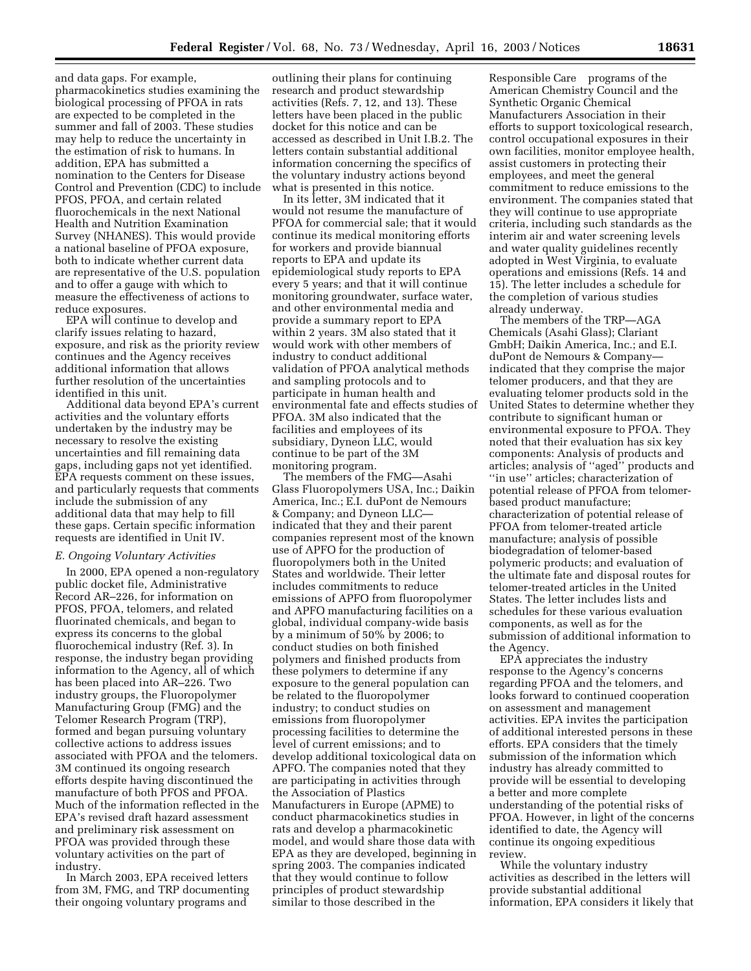and data gaps. For example, pharmacokinetics studies examining the biological processing of PFOA in rats are expected to be completed in the summer and fall of 2003. These studies may help to reduce the uncertainty in the estimation of risk to humans. In addition, EPA has submitted a nomination to the Centers for Disease Control and Prevention (CDC) to include PFOS, PFOA, and certain related fluorochemicals in the next National Health and Nutrition Examination Survey (NHANES). This would provide a national baseline of PFOA exposure, both to indicate whether current data are representative of the U.S. population and to offer a gauge with which to measure the effectiveness of actions to reduce exposures.

EPA will continue to develop and clarify issues relating to hazard, exposure, and risk as the priority review continues and the Agency receives additional information that allows further resolution of the uncertainties identified in this unit.

Additional data beyond EPA's current activities and the voluntary efforts undertaken by the industry may be necessary to resolve the existing uncertainties and fill remaining data gaps, including gaps not yet identified. EPA requests comment on these issues, and particularly requests that comments include the submission of any additional data that may help to fill these gaps. Certain specific information requests are identified in Unit IV.

### *E. Ongoing Voluntary Activities*

In 2000, EPA opened a non-regulatory public docket file, Administrative Record AR–226, for information on PFOS, PFOA, telomers, and related fluorinated chemicals, and began to express its concerns to the global fluorochemical industry (Ref. 3). In response, the industry began providing information to the Agency, all of which has been placed into AR–226. Two industry groups, the Fluoropolymer Manufacturing Group (FMG) and the Telomer Research Program (TRP), formed and began pursuing voluntary collective actions to address issues associated with PFOA and the telomers. 3M continued its ongoing research efforts despite having discontinued the manufacture of both PFOS and PFOA. Much of the information reflected in the EPA's revised draft hazard assessment and preliminary risk assessment on PFOA was provided through these voluntary activities on the part of industry.

In March 2003, EPA received letters from 3M, FMG, and TRP documenting their ongoing voluntary programs and

outlining their plans for continuing research and product stewardship activities (Refs. 7, 12, and 13). These letters have been placed in the public docket for this notice and can be accessed as described in Unit I.B.2. The letters contain substantial additional information concerning the specifics of the voluntary industry actions beyond what is presented in this notice.

In its letter, 3M indicated that it would not resume the manufacture of PFOA for commercial sale; that it would continue its medical monitoring efforts for workers and provide biannual reports to EPA and update its epidemiological study reports to EPA every 5 years; and that it will continue monitoring groundwater, surface water, and other environmental media and provide a summary report to EPA within 2 years. 3M also stated that it would work with other members of industry to conduct additional validation of PFOA analytical methods and sampling protocols and to participate in human health and environmental fate and effects studies of PFOA. 3M also indicated that the facilities and employees of its subsidiary, Dyneon LLC, would continue to be part of the 3M monitoring program.

The members of the FMG—Asahi Glass Fluoropolymers USA, Inc.; Daikin America, Inc.; E.I. duPont de Nemours & Company; and Dyneon LLC indicated that they and their parent companies represent most of the known use of APFO for the production of fluoropolymers both in the United States and worldwide. Their letter includes commitments to reduce emissions of APFO from fluoropolymer and APFO manufacturing facilities on a global, individual company-wide basis by a minimum of 50% by 2006; to conduct studies on both finished polymers and finished products from these polymers to determine if any exposure to the general population can be related to the fluoropolymer industry; to conduct studies on emissions from fluoropolymer processing facilities to determine the level of current emissions; and to develop additional toxicological data on APFO. The companies noted that they are participating in activities through the Association of Plastics Manufacturers in Europe (APME) to conduct pharmacokinetics studies in rats and develop a pharmacokinetic model, and would share those data with EPA as they are developed, beginning in spring 2003. The companies indicated that they would continue to follow principles of product stewardship similar to those described in the

Responsible Care<sup>®</sup> programs of the American Chemistry Council and the Synthetic Organic Chemical Manufacturers Association in their efforts to support toxicological research, control occupational exposures in their own facilities, monitor employee health, assist customers in protecting their employees, and meet the general commitment to reduce emissions to the environment. The companies stated that they will continue to use appropriate criteria, including such standards as the interim air and water screening levels and water quality guidelines recently adopted in West Virginia, to evaluate operations and emissions (Refs. 14 and 15). The letter includes a schedule for the completion of various studies already underway.

The members of the TRP—AGA Chemicals (Asahi Glass); Clariant GmbH; Daikin America, Inc.; and E.I. duPont de Nemours & Company indicated that they comprise the major telomer producers, and that they are evaluating telomer products sold in the United States to determine whether they contribute to significant human or environmental exposure to PFOA. They noted that their evaluation has six key components: Analysis of products and articles; analysis of ''aged'' products and ''in use'' articles; characterization of potential release of PFOA from telomerbased product manufacture; characterization of potential release of PFOA from telomer-treated article manufacture; analysis of possible biodegradation of telomer-based polymeric products; and evaluation of the ultimate fate and disposal routes for telomer-treated articles in the United States. The letter includes lists and schedules for these various evaluation components, as well as for the submission of additional information to the Agency.

EPA appreciates the industry response to the Agency's concerns regarding PFOA and the telomers, and looks forward to continued cooperation on assessment and management activities. EPA invites the participation of additional interested persons in these efforts. EPA considers that the timely submission of the information which industry has already committed to provide will be essential to developing a better and more complete understanding of the potential risks of PFOA. However, in light of the concerns identified to date, the Agency will continue its ongoing expeditious review.

While the voluntary industry activities as described in the letters will provide substantial additional information, EPA considers it likely that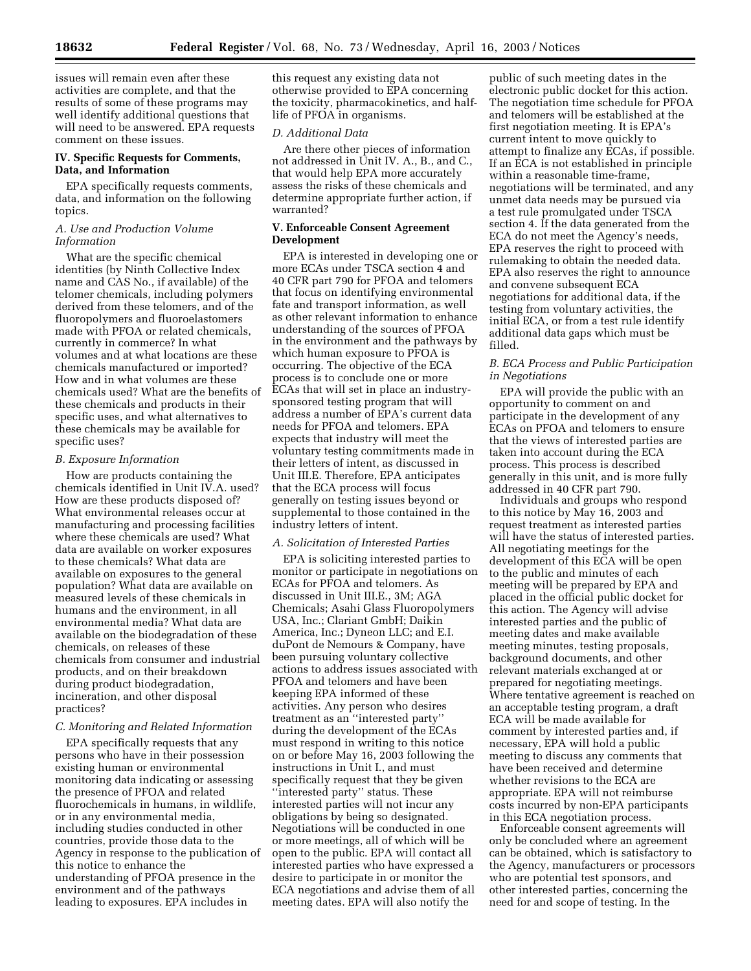issues will remain even after these activities are complete, and that the results of some of these programs may well identify additional questions that will need to be answered. EPA requests comment on these issues.

## **IV. Specific Requests for Comments, Data, and Information**

EPA specifically requests comments, data, and information on the following topics.

### *A. Use and Production Volume Information*

What are the specific chemical identities (by Ninth Collective Index name and CAS No., if available) of the telomer chemicals, including polymers derived from these telomers, and of the fluoropolymers and fluoroelastomers made with PFOA or related chemicals, currently in commerce? In what volumes and at what locations are these chemicals manufactured or imported? How and in what volumes are these chemicals used? What are the benefits of these chemicals and products in their specific uses, and what alternatives to these chemicals may be available for specific uses?

# *B. Exposure Information*

How are products containing the chemicals identified in Unit IV.A. used? How are these products disposed of? What environmental releases occur at manufacturing and processing facilities where these chemicals are used? What data are available on worker exposures to these chemicals? What data are available on exposures to the general population? What data are available on measured levels of these chemicals in humans and the environment, in all environmental media? What data are available on the biodegradation of these chemicals, on releases of these chemicals from consumer and industrial products, and on their breakdown during product biodegradation, incineration, and other disposal practices?

# *C. Monitoring and Related Information*

EPA specifically requests that any persons who have in their possession existing human or environmental monitoring data indicating or assessing the presence of PFOA and related fluorochemicals in humans, in wildlife, or in any environmental media, including studies conducted in other countries, provide those data to the Agency in response to the publication of this notice to enhance the understanding of PFOA presence in the environment and of the pathways leading to exposures. EPA includes in

this request any existing data not otherwise provided to EPA concerning the toxicity, pharmacokinetics, and halflife of PFOA in organisms.

## *D. Additional Data*

Are there other pieces of information not addressed in Unit IV. A., B., and C., that would help EPA more accurately assess the risks of these chemicals and determine appropriate further action, if warranted?

## **V. Enforceable Consent Agreement Development**

EPA is interested in developing one or more ECAs under TSCA section 4 and 40 CFR part 790 for PFOA and telomers that focus on identifying environmental fate and transport information, as well as other relevant information to enhance understanding of the sources of PFOA in the environment and the pathways by which human exposure to PFOA is occurring. The objective of the ECA process is to conclude one or more ECAs that will set in place an industrysponsored testing program that will address a number of EPA's current data needs for PFOA and telomers. EPA expects that industry will meet the voluntary testing commitments made in their letters of intent, as discussed in Unit III.E. Therefore, EPA anticipates that the ECA process will focus generally on testing issues beyond or supplemental to those contained in the industry letters of intent.

# *A. Solicitation of Interested Parties*

EPA is soliciting interested parties to monitor or participate in negotiations on ECAs for PFOA and telomers. As discussed in Unit III.E., 3M; AGA Chemicals; Asahi Glass Fluoropolymers USA, Inc.; Clariant GmbH; Daikin America, Inc.; Dyneon LLC; and E.I. duPont de Nemours & Company, have been pursuing voluntary collective actions to address issues associated with PFOA and telomers and have been keeping EPA informed of these activities. Any person who desires treatment as an ''interested party'' during the development of the ECAs must respond in writing to this notice on or before May 16, 2003 following the instructions in Unit I., and must specifically request that they be given ''interested party'' status. These interested parties will not incur any obligations by being so designated. Negotiations will be conducted in one or more meetings, all of which will be open to the public. EPA will contact all interested parties who have expressed a desire to participate in or monitor the ECA negotiations and advise them of all meeting dates. EPA will also notify the

public of such meeting dates in the electronic public docket for this action. The negotiation time schedule for PFOA and telomers will be established at the first negotiation meeting. It is EPA's current intent to move quickly to attempt to finalize any ECAs, if possible. If an ECA is not established in principle within a reasonable time-frame, negotiations will be terminated, and any unmet data needs may be pursued via a test rule promulgated under TSCA section 4. If the data generated from the ECA do not meet the Agency's needs, EPA reserves the right to proceed with rulemaking to obtain the needed data. EPA also reserves the right to announce and convene subsequent ECA negotiations for additional data, if the testing from voluntary activities, the initial ECA, or from a test rule identify additional data gaps which must be filled.

# *B. ECA Process and Public Participation in Negotiations*

EPA will provide the public with an opportunity to comment on and participate in the development of any ECAs on PFOA and telomers to ensure that the views of interested parties are taken into account during the ECA process. This process is described generally in this unit, and is more fully addressed in 40 CFR part 790.

Individuals and groups who respond to this notice by May 16, 2003 and request treatment as interested parties will have the status of interested parties. All negotiating meetings for the development of this ECA will be open to the public and minutes of each meeting will be prepared by EPA and placed in the official public docket for this action. The Agency will advise interested parties and the public of meeting dates and make available meeting minutes, testing proposals, background documents, and other relevant materials exchanged at or prepared for negotiating meetings. Where tentative agreement is reached on an acceptable testing program, a draft ECA will be made available for comment by interested parties and, if necessary, EPA will hold a public meeting to discuss any comments that have been received and determine whether revisions to the ECA are appropriate. EPA will not reimburse costs incurred by non-EPA participants in this ECA negotiation process.

Enforceable consent agreements will only be concluded where an agreement can be obtained, which is satisfactory to the Agency, manufacturers or processors who are potential test sponsors, and other interested parties, concerning the need for and scope of testing. In the